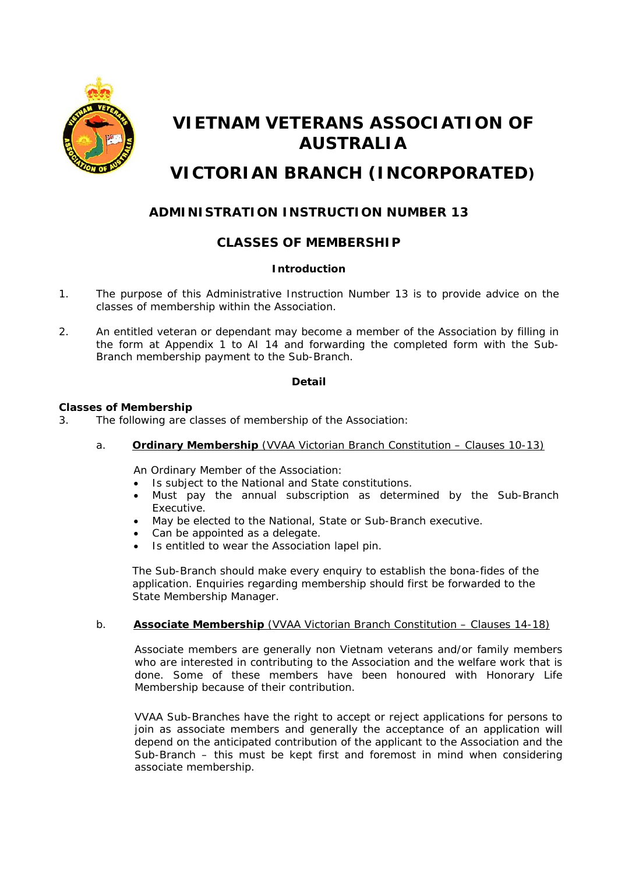

# **VIETNAM VETERANS ASSOCIATION OF AUSTRALIA**

## **VICTORIAN BRANCH (INCORPORATED)**

## **ADMINISTRATION INSTRUCTION NUMBER 13**

### **CLASSES OF MEMBERSHIP**

#### **Introduction**

- 1. The purpose of this Administrative Instruction Number 13 is to provide advice on the classes of membership within the Association.
- 2. An entitled veteran or dependant may become a member of the Association by filling in the form at Appendix 1 to AI 14 and forwarding the completed form with the Sub-Branch membership payment to the Sub-Branch.

#### **Detail**

#### **Classes of Membership**

- 3. The following are classes of membership of the Association:
	- a. **Ordinary Membership** (VVAA Victorian Branch Constitution Clauses 10-13)

An Ordinary Member of the Association:

- Is subject to the National and State constitutions.
- Must pay the annual subscription as determined by the Sub-Branch Executive.
- May be elected to the National, State or Sub-Branch executive.
- Can be appointed as a delegate.
- Is entitled to wear the Association lapel pin.

The Sub-Branch should make every enquiry to establish the bona-fides of the application. Enquiries regarding membership should first be forwarded to the State Membership Manager.

#### b. **Associate Membership** (VVAA Victorian Branch Constitution – Clauses 14-18)

Associate members are generally non Vietnam veterans and/or family members who are interested in contributing to the Association and the welfare work that is done. Some of these members have been honoured with Honorary Life Membership because of their contribution.

VVAA Sub-Branches have the right to accept or reject applications for persons to join as associate members and generally the acceptance of an application will depend on the anticipated contribution of the applicant to the Association and the Sub-Branch – this must be kept first and foremost in mind when considering associate membership.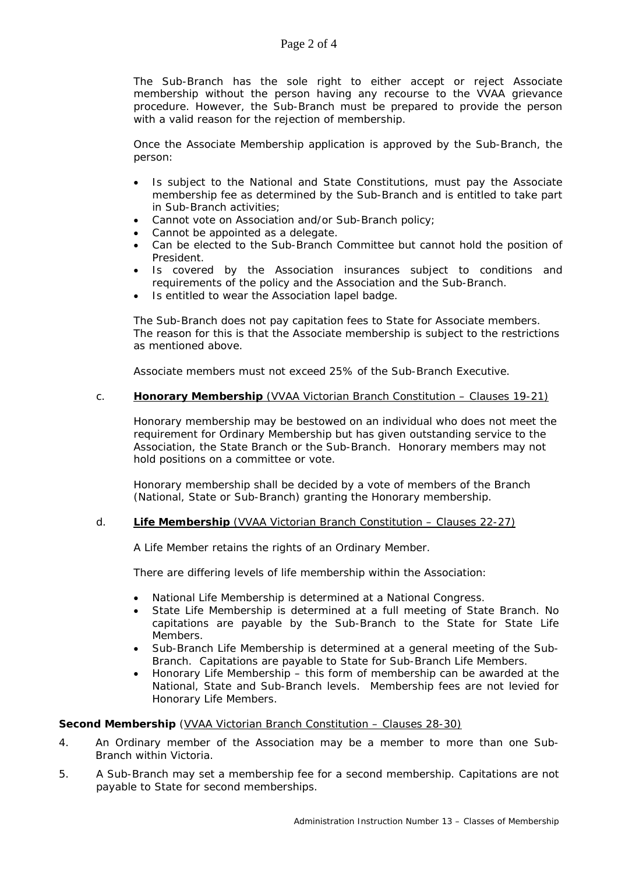The Sub-Branch has the sole right to either accept or reject Associate membership without the person having any recourse to the VVAA grievance procedure. However, the Sub-Branch must be prepared to provide the person with a valid reason for the rejection of membership.

Once the Associate Membership application is approved by the Sub-Branch, the person:

- Is subject to the National and State Constitutions, must pay the Associate membership fee as determined by the Sub-Branch and is entitled to take part in Sub-Branch activities;
- Cannot vote on Association and/or Sub-Branch policy;
- Cannot be appointed as a delegate.
- Can be elected to the Sub-Branch Committee but cannot hold the position of President.
- Is covered by the Association insurances subject to conditions and requirements of the policy and the Association and the Sub-Branch.
- Is entitled to wear the Association lapel badge.

The Sub-Branch does not pay capitation fees to State for Associate members. The reason for this is that the Associate membership is subject to the restrictions as mentioned above.

Associate members must not exceed 25% of the Sub-Branch Executive.

#### c. **Honorary Membership** (VVAA Victorian Branch Constitution – Clauses 19-21)

Honorary membership may be bestowed on an individual who does not meet the requirement for Ordinary Membership but has given outstanding service to the Association, the State Branch or the Sub-Branch. Honorary members may not hold positions on a committee or vote.

Honorary membership shall be decided by a vote of members of the Branch (National, State or Sub-Branch) granting the Honorary membership.

#### d. **Life Membership** (VVAA Victorian Branch Constitution – Clauses 22-27)

A Life Member retains the rights of an Ordinary Member.

There are differing levels of life membership within the Association:

- National Life Membership is determined at a National Congress.
- State Life Membership is determined at a full meeting of State Branch. No capitations are payable by the Sub-Branch to the State for State Life Members.
- Sub-Branch Life Membership is determined at a general meeting of the Sub-Branch. Capitations are payable to State for Sub-Branch Life Members.
- Honorary Life Membership this form of membership can be awarded at the National, State and Sub-Branch levels. Membership fees are not levied for Honorary Life Members.

#### **Second Membership** (VVAA Victorian Branch Constitution – Clauses 28-30)

- 4. An Ordinary member of the Association may be a member to more than one Sub-Branch within Victoria.
- 5. A Sub-Branch may set a membership fee for a second membership. Capitations are not payable to State for second memberships.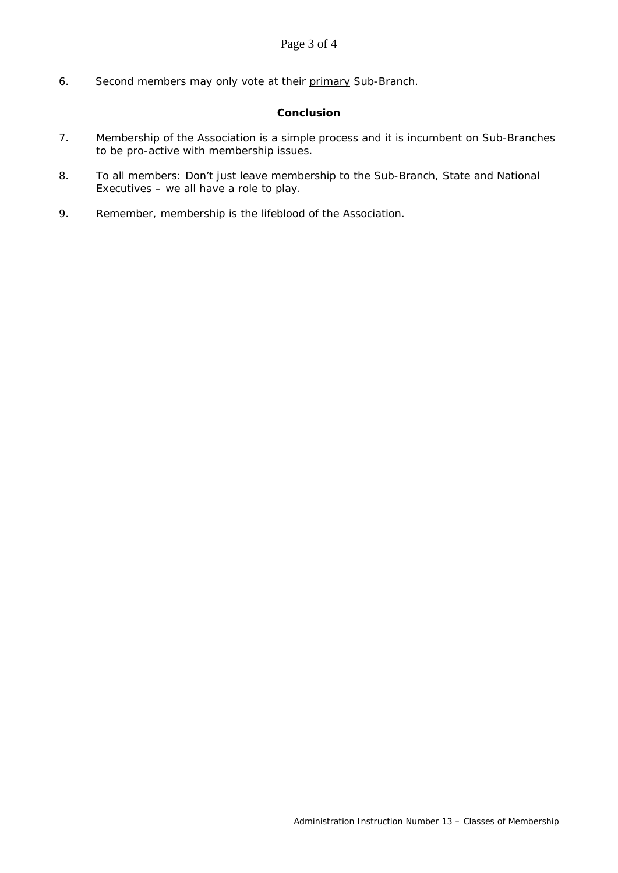6. Second members may only vote at their primary Sub-Branch.

#### **Conclusion**

- 7. Membership of the Association is a simple process and it is incumbent on Sub-Branches to be pro-active with membership issues.
- 8. To all members: Don't just leave membership to the Sub-Branch, State and National Executives – we all have a role to play.
- 9. Remember, membership is the lifeblood of the Association.